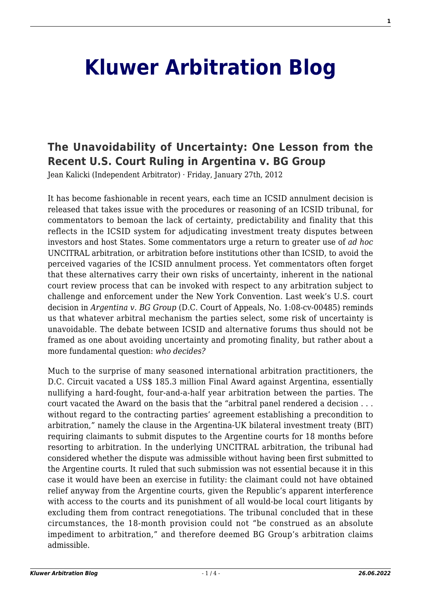## **[Kluwer Arbitration Blog](http://arbitrationblog.kluwerarbitration.com/)**

## **[The Unavoidability of Uncertainty: One Lesson from the](http://arbitrationblog.kluwerarbitration.com/2012/01/27/the-unavoidability-of-uncertainty-one-lesson-from-the-recent-u-s-court-ruling-in-argentina-v-bg-group/) [Recent U.S. Court Ruling in Argentina v. BG Group](http://arbitrationblog.kluwerarbitration.com/2012/01/27/the-unavoidability-of-uncertainty-one-lesson-from-the-recent-u-s-court-ruling-in-argentina-v-bg-group/)**

Jean Kalicki (Independent Arbitrator) · Friday, January 27th, 2012

It has become fashionable in recent years, each time an ICSID annulment decision is released that takes issue with the procedures or reasoning of an ICSID tribunal, for commentators to bemoan the lack of certainty, predictability and finality that this reflects in the ICSID system for adjudicating investment treaty disputes between investors and host States. Some commentators urge a return to greater use of *ad hoc* UNCITRAL arbitration, or arbitration before institutions other than ICSID, to avoid the perceived vagaries of the ICSID annulment process. Yet commentators often forget that these alternatives carry their own risks of uncertainty, inherent in the national court review process that can be invoked with respect to any arbitration subject to challenge and enforcement under the New York Convention. Last week's U.S. court decision in *Argentina v. BG Group* (D.C. Court of Appeals, No. 1:08-cv-00485) reminds us that whatever arbitral mechanism the parties select, some risk of uncertainty is unavoidable. The debate between ICSID and alternative forums thus should not be framed as one about avoiding uncertainty and promoting finality, but rather about a more fundamental question: *who decides?*

Much to the surprise of many seasoned international arbitration practitioners, the D.C. Circuit vacated a US\$ 185.3 million Final Award against Argentina, essentially nullifying a hard-fought, four-and-a-half year arbitration between the parties. The court vacated the Award on the basis that the "arbitral panel rendered a decision . . . without regard to the contracting parties' agreement establishing a precondition to arbitration," namely the clause in the Argentina-UK bilateral investment treaty (BIT) requiring claimants to submit disputes to the Argentine courts for 18 months before resorting to arbitration. In the underlying UNCITRAL arbitration, the tribunal had considered whether the dispute was admissible without having been first submitted to the Argentine courts. It ruled that such submission was not essential because it in this case it would have been an exercise in futility: the claimant could not have obtained relief anyway from the Argentine courts, given the Republic's apparent interference with access to the courts and its punishment of all would-be local court litigants by excluding them from contract renegotiations. The tribunal concluded that in these circumstances, the 18-month provision could not "be construed as an absolute impediment to arbitration," and therefore deemed BG Group's arbitration claims admissible.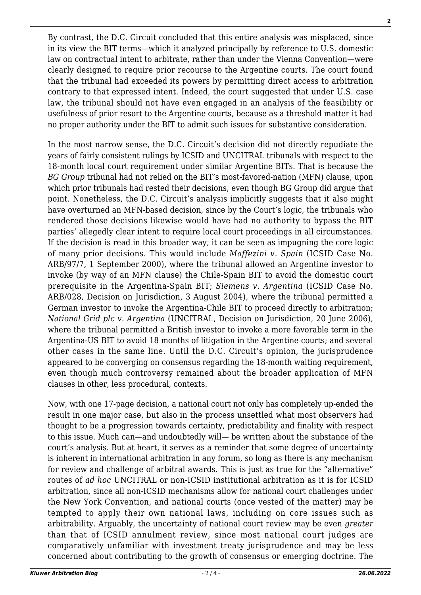By contrast, the D.C. Circuit concluded that this entire analysis was misplaced, since in its view the BIT terms—which it analyzed principally by reference to U.S. domestic law on contractual intent to arbitrate, rather than under the Vienna Convention—were clearly designed to require prior recourse to the Argentine courts. The court found that the tribunal had exceeded its powers by permitting direct access to arbitration contrary to that expressed intent. Indeed, the court suggested that under U.S. case law, the tribunal should not have even engaged in an analysis of the feasibility or usefulness of prior resort to the Argentine courts, because as a threshold matter it had no proper authority under the BIT to admit such issues for substantive consideration.

In the most narrow sense, the D.C. Circuit's decision did not directly repudiate the years of fairly consistent rulings by ICSID and UNCITRAL tribunals with respect to the 18-month local court requirement under similar Argentine BITs. That is because the *BG Group* tribunal had not relied on the BIT's most-favored-nation (MFN) clause, upon which prior tribunals had rested their decisions, even though BG Group did argue that point. Nonetheless, the D.C. Circuit's analysis implicitly suggests that it also might have overturned an MFN-based decision, since by the Court's logic, the tribunals who rendered those decisions likewise would have had no authority to bypass the BIT parties' allegedly clear intent to require local court proceedings in all circumstances. If the decision is read in this broader way, it can be seen as impugning the core logic of many prior decisions. This would include *Maffezini v. Spain* (ICSID Case No. ARB/97/7, 1 September 2000), where the tribunal allowed an Argentine investor to invoke (by way of an MFN clause) the Chile-Spain BIT to avoid the domestic court prerequisite in the Argentina-Spain BIT; *Siemens v. Argentina* (ICSID Case No. ARB/028, Decision on Jurisdiction, 3 August 2004), where the tribunal permitted a German investor to invoke the Argentina-Chile BIT to proceed directly to arbitration; *National Grid plc v. Argentina* (UNCITRAL, Decision on Jurisdiction, 20 June 2006), where the tribunal permitted a British investor to invoke a more favorable term in the Argentina-US BIT to avoid 18 months of litigation in the Argentine courts; and several other cases in the same line. Until the D.C. Circuit's opinion, the jurisprudence appeared to be converging on consensus regarding the 18-month waiting requirement, even though much controversy remained about the broader application of MFN clauses in other, less procedural, contexts.

Now, with one 17-page decision, a national court not only has completely up-ended the result in one major case, but also in the process unsettled what most observers had thought to be a progression towards certainty, predictability and finality with respect to this issue. Much can—and undoubtedly will— be written about the substance of the court's analysis. But at heart, it serves as a reminder that some degree of uncertainty is inherent in international arbitration in any forum, so long as there is any mechanism for review and challenge of arbitral awards. This is just as true for the "alternative" routes of *ad hoc* UNCITRAL or non-ICSID institutional arbitration as it is for ICSID arbitration, since all non-ICSID mechanisms allow for national court challenges under the New York Convention, and national courts (once vested of the matter) may be tempted to apply their own national laws, including on core issues such as arbitrability. Arguably, the uncertainty of national court review may be even *greater* than that of ICSID annulment review, since most national court judges are comparatively unfamiliar with investment treaty jurisprudence and may be less concerned about contributing to the growth of consensus or emerging doctrine. The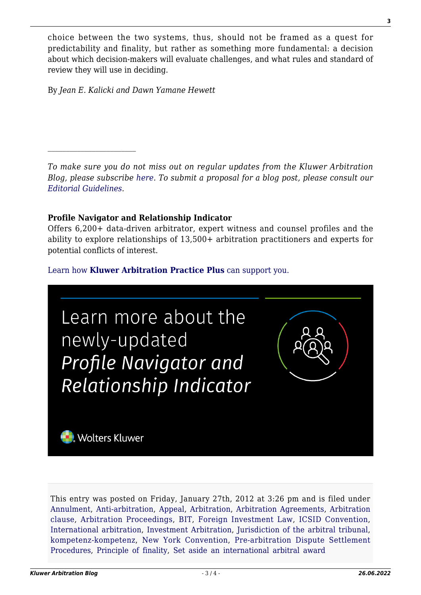choice between the two systems, thus, should not be framed as a quest for predictability and finality, but rather as something more fundamental: a decision about which decision-makers will evaluate challenges, and what rules and standard of review they will use in deciding.

By *Jean E. Kalicki and Dawn Yamane Hewett*

 $\mathcal{L}_\text{max}$ 

*To make sure you do not miss out on regular updates from the Kluwer Arbitration Blog, please subscribe [here](http://arbitrationblog.kluwerarbitration.com/newsletter/). To submit a proposal for a blog post, please consult our [Editorial Guidelines.](http://arbitrationblog.kluwerarbitration.com/editorial-guidelines/)*

## **Profile Navigator and Relationship Indicator**

Offers 6,200+ data-driven arbitrator, expert witness and counsel profiles and the ability to explore relationships of 13,500+ arbitration practitioners and experts for potential conflicts of interest.

## [Learn how](https://www.wolterskluwer.com/en/solutions/kluwerarbitration/practiceplus?utm_source=arbitrationblog&utm_medium=articleCTA&utm_campaign=article-banner) **[Kluwer Arbitration Practice Plus](https://www.wolterskluwer.com/en/solutions/kluwerarbitration/practiceplus?utm_source=arbitrationblog&utm_medium=articleCTA&utm_campaign=article-banner)** [can support you.](https://www.wolterskluwer.com/en/solutions/kluwerarbitration/practiceplus?utm_source=arbitrationblog&utm_medium=articleCTA&utm_campaign=article-banner)



This entry was posted on Friday, January 27th, 2012 at 3:26 pm and is filed under [Annulment](http://arbitrationblog.kluwerarbitration.com/category/annulment/), [Anti-arbitration](http://arbitrationblog.kluwerarbitration.com/category/anti-arbitration/), [Appeal,](http://arbitrationblog.kluwerarbitration.com/category/appeal/) [Arbitration](http://arbitrationblog.kluwerarbitration.com/category/arbitration/), [Arbitration Agreements,](http://arbitrationblog.kluwerarbitration.com/category/arbitration-agreements/) [Arbitration](http://arbitrationblog.kluwerarbitration.com/category/arbitration-clause/) [clause,](http://arbitrationblog.kluwerarbitration.com/category/arbitration-clause/) [Arbitration Proceedings](http://arbitrationblog.kluwerarbitration.com/category/arbitration-proceedings/), [BIT,](http://arbitrationblog.kluwerarbitration.com/category/bit/) [Foreign Investment Law](http://arbitrationblog.kluwerarbitration.com/category/foreign-investment-law/), [ICSID Convention,](http://arbitrationblog.kluwerarbitration.com/category/icsid-convention/) [International arbitration](http://arbitrationblog.kluwerarbitration.com/category/international-arbitration/), [Investment Arbitration,](http://arbitrationblog.kluwerarbitration.com/category/investment-arbitration/) [Jurisdiction of the arbitral tribunal,](http://arbitrationblog.kluwerarbitration.com/category/jurisdiction-of-the-arbitral-tribunal/) [kompetenz-kompetenz,](http://arbitrationblog.kluwerarbitration.com/category/kompetenz-kompetenz/) [New York Convention,](http://arbitrationblog.kluwerarbitration.com/category/new-york-convention/) [Pre-arbitration Dispute Settlement](http://arbitrationblog.kluwerarbitration.com/category/pre-arbitration-dispute-settlement-procedures/) [Procedures,](http://arbitrationblog.kluwerarbitration.com/category/pre-arbitration-dispute-settlement-procedures/) [Principle of finality,](http://arbitrationblog.kluwerarbitration.com/category/principle-of-finality/) [Set aside an international arbitral award](http://arbitrationblog.kluwerarbitration.com/category/set-aside-an-international-arbitral-award/)